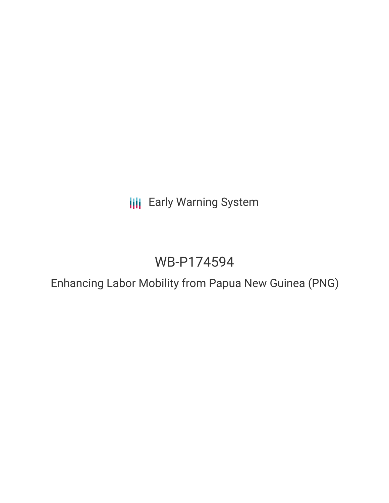**III** Early Warning System

# WB-P174594

Enhancing Labor Mobility from Papua New Guinea (PNG)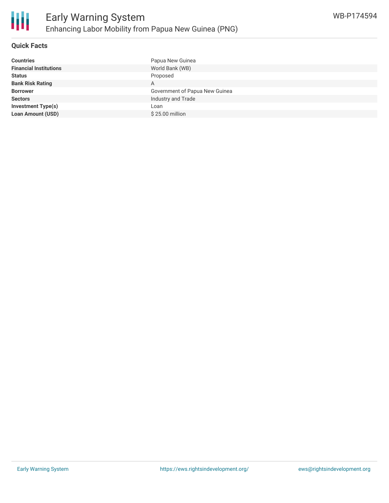

# **Quick Facts**

| <b>Countries</b>              | Papua New Guinea               |
|-------------------------------|--------------------------------|
| <b>Financial Institutions</b> | World Bank (WB)                |
| <b>Status</b>                 | Proposed                       |
| <b>Bank Risk Rating</b>       | Α                              |
| <b>Borrower</b>               | Government of Papua New Guinea |
| <b>Sectors</b>                | Industry and Trade             |
| <b>Investment Type(s)</b>     | Loan                           |
| <b>Loan Amount (USD)</b>      | \$25.00 million                |
|                               |                                |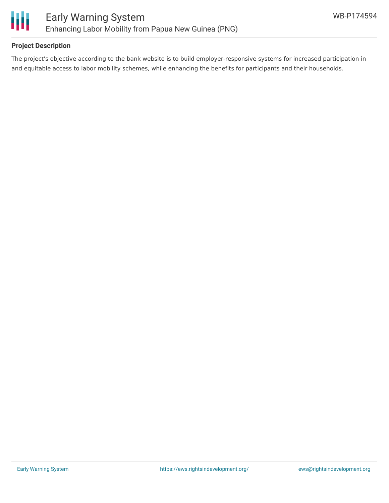

### **Project Description**

The project's objective according to the bank website is to build employer-responsive systems for increased participation in and equitable access to labor mobility schemes, while enhancing the benefits for participants and their households.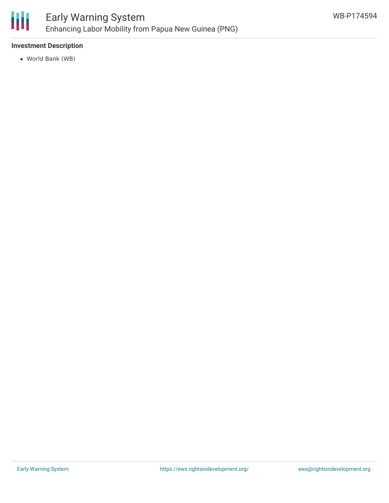

### **Investment Description**

World Bank (WB)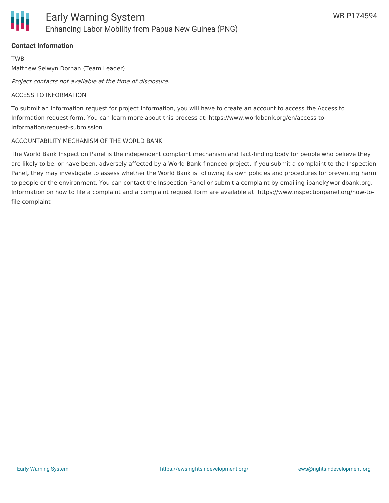# **Contact Information**

TWB

Matthew Selwyn Dornan (Team Leader)

Project contacts not available at the time of disclosure.

#### ACCESS TO INFORMATION

To submit an information request for project information, you will have to create an account to access the Access to Information request form. You can learn more about this process at: https://www.worldbank.org/en/access-toinformation/request-submission

#### ACCOUNTABILITY MECHANISM OF THE WORLD BANK

The World Bank Inspection Panel is the independent complaint mechanism and fact-finding body for people who believe they are likely to be, or have been, adversely affected by a World Bank-financed project. If you submit a complaint to the Inspection Panel, they may investigate to assess whether the World Bank is following its own policies and procedures for preventing harm to people or the environment. You can contact the Inspection Panel or submit a complaint by emailing ipanel@worldbank.org. Information on how to file a complaint and a complaint request form are available at: https://www.inspectionpanel.org/how-tofile-complaint